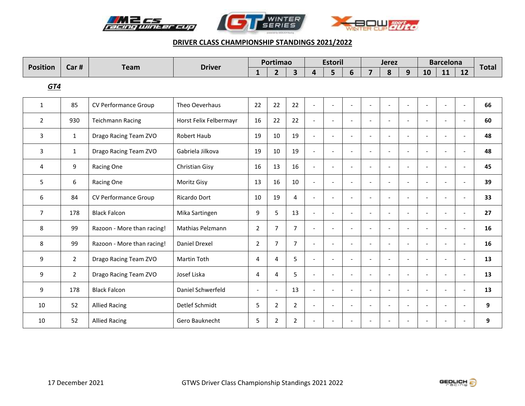





| <b>Position</b> | Car #          | <b>Team</b>                | <b>Driver</b>          |                | Portimao       |                |                          | <b>Estoril</b>           |                          |                          | <b>Jerez</b>             |                          |                              | <b>Barcelona</b>         |                          | <b>Total</b> |
|-----------------|----------------|----------------------------|------------------------|----------------|----------------|----------------|--------------------------|--------------------------|--------------------------|--------------------------|--------------------------|--------------------------|------------------------------|--------------------------|--------------------------|--------------|
|                 |                |                            |                        | $\mathbf{1}$   | $\overline{2}$ | 3              | 4                        | 5                        | 6                        | $\overline{7}$           | 8                        | 9                        | 10                           | 11                       | 12                       |              |
| GTA             |                |                            |                        |                |                |                |                          |                          |                          |                          |                          |                          |                              |                          |                          |              |
| $\mathbf{1}$    | 85             | CV Performance Group       | Theo Oeverhaus         | 22             | 22             | 22             | $\overline{a}$           | $\overline{a}$           | $\overline{a}$           | $\overline{a}$           |                          | $\overline{a}$           | $\overline{a}$               |                          | $\overline{a}$           | 66           |
| $\overline{2}$  | 930            | <b>Teichmann Racing</b>    | Horst Felix Felbermayr | 16             | 22             | 22             | $\sim$                   | $\overline{\phantom{a}}$ | $\blacksquare$           | $\overline{\phantom{a}}$ | $\overline{\phantom{a}}$ | $\blacksquare$           | $\overline{a}$               | $\overline{\phantom{a}}$ | $\blacksquare$           | 60           |
| 3               | $\mathbf{1}$   | Drago Racing Team ZVO      | Robert Haub            | 19             | 10             | 19             | $\overline{a}$           | $\blacksquare$           | $\overline{\phantom{a}}$ | $\blacksquare$           | $\overline{\phantom{a}}$ | $\overline{\phantom{a}}$ |                              |                          |                          | 48           |
| 3               | $\mathbf{1}$   | Drago Racing Team ZVO      | Gabriela Jilkova       | 19             | 10             | 19             | $\overline{a}$           | $\overline{\phantom{a}}$ | $\overline{\phantom{a}}$ | $\blacksquare$           | $\overline{\phantom{a}}$ | $\overline{\phantom{a}}$ | $\overline{a}$               | $\overline{\phantom{a}}$ | $\overline{\phantom{a}}$ | 48           |
| 4               | 9              | Racing One                 | Christian Gisy         | 16             | 13             | 16             | $\overline{a}$           | $\blacksquare$           | $\blacksquare$           | $\overline{a}$           | $\overline{\phantom{a}}$ | $\blacksquare$           | $\overline{\phantom{a}}$     |                          | $\overline{\phantom{a}}$ | 45           |
| 5               | 6              | Racing One                 | Moritz Gisy            | 13             | 16             | 10             | $\overline{a}$           | $\overline{\phantom{a}}$ | $\overline{\phantom{a}}$ | $\overline{\phantom{a}}$ | $\overline{\phantom{a}}$ | $\overline{\phantom{a}}$ | $\qquad \qquad \blacksquare$ | $\overline{\phantom{a}}$ | $\overline{\phantom{a}}$ | 39           |
| 6               | 84             | CV Performance Group       | Ricardo Dort           | 10             | 19             | $\overline{4}$ | $\overline{\phantom{a}}$ | $\overline{\phantom{a}}$ | $\overline{\phantom{a}}$ | $\overline{\phantom{a}}$ | $\overline{a}$           | $\sim$                   | $\overline{a}$               |                          | $\overline{\phantom{a}}$ | 33           |
| $\overline{7}$  | 178            | <b>Black Falcon</b>        | Mika Sartingen         | 9              | 5              | 13             | $\overline{\phantom{a}}$ | $\overline{a}$           | $\overline{\phantom{a}}$ | $\overline{\phantom{a}}$ | $\overline{\phantom{a}}$ | $\overline{\phantom{a}}$ | $\overline{a}$               |                          |                          | 27           |
| 8               | 99             | Razoon - More than racing! | Mathias Pelzmann       | 2              | 7              | $\overline{7}$ | $\overline{a}$           | $\sim$                   | $\overline{\phantom{a}}$ | $\overline{a}$           | $\sim$                   | $\overline{\phantom{a}}$ | $\overline{a}$               |                          | $\overline{\phantom{a}}$ | 16           |
| 8               | 99             | Razoon - More than racing! | Daniel Drexel          | 2              | 7              | $\overline{7}$ | $\overline{a}$           | $\overline{a}$           | $\overline{\phantom{a}}$ | $\overline{a}$           | $\sim$                   | $\overline{\phantom{a}}$ | $\overline{a}$               | $\sim$                   | $\sim$                   | 16           |
| 9               | $\overline{2}$ | Drago Racing Team ZVO      | <b>Martin Toth</b>     | 4              | $\overline{4}$ | 5              | $\overline{a}$           | $\sim$                   | $\overline{\phantom{a}}$ | $\overline{a}$           | $\sim$                   | $\overline{\phantom{a}}$ | $\overline{a}$               | $\overline{\phantom{a}}$ | $\overline{\phantom{a}}$ | 13           |
| 9               | $\overline{2}$ | Drago Racing Team ZVO      | Josef Liska            | $\overline{4}$ | 4              | 5              | $\overline{\phantom{a}}$ | $\sim$                   | $\blacksquare$           | $\overline{a}$           | $\sim$                   | $\blacksquare$           | $\blacksquare$               |                          |                          | 13           |
| 9               | 178            | <b>Black Falcon</b>        | Daniel Schwerfeld      | $\overline{a}$ |                | 13             | $\overline{\phantom{a}}$ | $\overline{\phantom{a}}$ | $\blacksquare$           | $\blacksquare$           | $\overline{\phantom{a}}$ | $\blacksquare$           | $\overline{\phantom{a}}$     | $\overline{\phantom{a}}$ | $\overline{\phantom{a}}$ | 13           |
| 10              | 52             | <b>Allied Racing</b>       | Detlef Schmidt         | 5              | 2              | 2              | $\overline{\phantom{a}}$ | $\overline{\phantom{a}}$ | $\blacksquare$           | $\overline{\phantom{a}}$ | $\blacksquare$           | $\overline{\phantom{a}}$ | $\overline{\phantom{0}}$     |                          | $\overline{\phantom{a}}$ | 9            |
| 10              | 52             | <b>Allied Racing</b>       | Gero Bauknecht         | 5              | 2              | $\overline{2}$ | $\overline{\phantom{a}}$ | $\overline{\phantom{a}}$ | $\overline{\phantom{a}}$ | $\overline{\phantom{a}}$ |                          | $\overline{\phantom{a}}$ |                              |                          |                          | 9            |

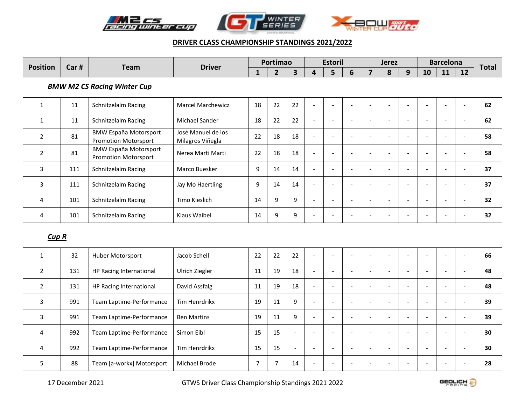





| <b>Position</b>                    | Car# | <b>Team</b>                                                 | <b>Driver</b>                          |    | Portimao |    |                          | <b>Estoril</b>           |                          | <b>Jerez</b>             |                          |                          | <b>Barcelona</b>         | <b>Total</b>             |    |    |
|------------------------------------|------|-------------------------------------------------------------|----------------------------------------|----|----------|----|--------------------------|--------------------------|--------------------------|--------------------------|--------------------------|--------------------------|--------------------------|--------------------------|----|----|
|                                    |      |                                                             |                                        | 1  | 2        | 3  | 4                        | 5                        | 6                        | 7                        | 8                        | 9                        | 10                       | 11                       | 12 |    |
| <b>BMW M2 CS Racing Winter Cup</b> |      |                                                             |                                        |    |          |    |                          |                          |                          |                          |                          |                          |                          |                          |    |    |
| 1                                  | 11   | Schnitzelalm Racing                                         | <b>Marcel Marchewicz</b>               | 18 | 22       | 22 | $\sim$                   | $\overline{\phantom{a}}$ |                          | ٠                        |                          |                          |                          | $\overline{\phantom{a}}$ |    | 62 |
| 1                                  | 11   | Schnitzelalm Racing                                         | Michael Sander                         | 18 | 22       | 22 | $\overline{\phantom{a}}$ | $\overline{\phantom{a}}$ |                          | $\overline{\phantom{a}}$ |                          |                          |                          |                          |    | 62 |
| $\overline{2}$                     | 81   | <b>BMW España Motorsport</b><br><b>Promotion Motorsport</b> | José Manuel de los<br>Milagros Viñegla | 22 | 18       | 18 | $\sim$                   | $\overline{\phantom{a}}$ |                          | $\overline{\phantom{a}}$ |                          |                          | ۰                        | $\overline{\phantom{a}}$ |    | 58 |
| 2                                  | 81   | <b>BMW España Motorsport</b><br><b>Promotion Motorsport</b> | Nerea Marti Marti                      | 22 | 18       | 18 | $\overline{\phantom{a}}$ |                          |                          | ٠                        |                          |                          |                          |                          |    | 58 |
| 3                                  | 111  | Schnitzelalm Racing                                         | Marco Buesker                          | 9  | 14       | 14 | $\overline{\phantom{a}}$ | $\overline{\phantom{a}}$ |                          | $\overline{\phantom{a}}$ |                          |                          |                          |                          |    | 37 |
| 3                                  | 111  | Schnitzelalm Racing                                         | Jay Mo Haertling                       | 9  | 14       | 14 | $\overline{\phantom{a}}$ |                          |                          | ٠                        |                          |                          |                          |                          |    | 37 |
| 4                                  | 101  | Schnitzelalm Racing                                         | Timo Kieslich                          | 14 | 9        | 9  | $\overline{\phantom{0}}$ | $\overline{\phantom{a}}$ | $\overline{\phantom{a}}$ | $\overline{\phantom{a}}$ | $\overline{\phantom{a}}$ | $\overline{\phantom{a}}$ | $\overline{\phantom{a}}$ | $\overline{\phantom{a}}$ |    | 32 |
| 4                                  | 101  | Schnitzelalm Racing                                         | Klaus Waibel                           | 14 | 9        | 9  | $\overline{\phantom{0}}$ | $\overline{\phantom{a}}$ | $\overline{\phantom{a}}$ | $\overline{\phantom{a}}$ | $\overline{\phantom{a}}$ | $\overline{\phantom{a}}$ | $\overline{\phantom{a}}$ | $\overline{\phantom{a}}$ |    | 32 |
| $C$ in D                           |      |                                                             |                                        |    |          |    |                          |                          |                          |                          |                          |                          |                          |                          |    |    |

### *Cup R*

|   | 32  | Huber Motorsport          | Jacob Schell       | 22 | 22                       | 22                       | $\overline{a}$           | $\overline{\phantom{a}}$ |                          |  |                          | $\overline{\phantom{a}}$ | ۰. | 66 |
|---|-----|---------------------------|--------------------|----|--------------------------|--------------------------|--------------------------|--------------------------|--------------------------|--|--------------------------|--------------------------|----|----|
|   | 131 | HP Racing International   | Ulrich Ziegler     | 11 | 19                       | 18                       | $\sim$                   | $\overline{\phantom{a}}$ |                          |  | $\overline{\phantom{a}}$ |                          |    | 48 |
|   | 131 | HP Racing International   | David Assfalg      | 11 | 19                       | 18                       | $\overline{\phantom{0}}$ |                          |                          |  |                          |                          |    | 48 |
| 3 | 991 | Team Laptime-Performance  | Tim Henrdrikx      | 19 | 11                       | 9                        |                          | $\overline{\phantom{a}}$ | $\overline{\phantom{a}}$ |  |                          | $\overline{\phantom{0}}$ | ۰. | 39 |
| 3 | 991 | Team Laptime-Performance  | <b>Ben Martins</b> | 19 | 11                       | 9                        |                          | $\overline{\phantom{0}}$ | -                        |  | $\overline{\phantom{0}}$ | $\overline{\phantom{0}}$ |    | 39 |
| 4 | 992 | Team Laptime-Performance  | Simon Eibl         | 15 | 15                       | $\overline{\phantom{0}}$ | $\overline{\phantom{0}}$ | $\overline{\phantom{0}}$ |                          |  |                          |                          |    | 30 |
| 4 | 992 | Team Laptime-Performance  | Tim Henrdrikx      | 15 | 15                       | $\overline{a}$           |                          | $\overline{\phantom{0}}$ |                          |  |                          |                          |    | 30 |
|   | 88  | Team [a-workx] Motorsport | Michael Brode      |    | $\overline{\phantom{0}}$ | 14                       | $\overline{\phantom{0}}$ | $\overline{\phantom{0}}$ |                          |  |                          |                          |    | 28 |

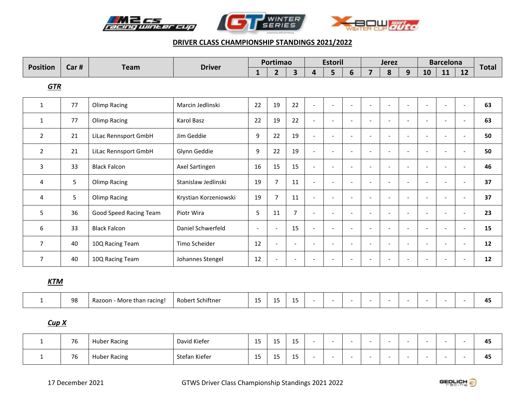





|                | <b>Position</b><br>Car # | <b>Team</b>            | <b>Driver</b>         |                | Portimao                 |                          |                          | <b>Estoril</b>           |                          |                          | <b>Jerez</b>             |                          |                          | <b>Barcelona</b>         |    | <b>Total</b> |
|----------------|--------------------------|------------------------|-----------------------|----------------|--------------------------|--------------------------|--------------------------|--------------------------|--------------------------|--------------------------|--------------------------|--------------------------|--------------------------|--------------------------|----|--------------|
|                |                          |                        |                       | 1              | $\overline{2}$           | 3                        | 4                        | 5                        | 6                        | $\overline{7}$           | 8                        | 9                        | 10                       | 11                       | 12 |              |
| <b>GTR</b>     |                          |                        |                       |                |                          |                          |                          |                          |                          |                          |                          |                          |                          |                          |    |              |
| 1              | 77                       | <b>Olimp Racing</b>    | Marcin Jedlinski      | 22             | 19                       | 22                       | $\overline{\phantom{a}}$ | $\overline{\phantom{a}}$ |                          | $\overline{\phantom{a}}$ | $\overline{\phantom{a}}$ |                          |                          | $\overline{\phantom{a}}$ |    | 63           |
| $\mathbf{1}$   | 77                       | Olimp Racing           | Karol Basz            | 22             | 19                       | 22                       | $\overline{\phantom{a}}$ | $\overline{\phantom{a}}$ | $\overline{\phantom{a}}$ | $\overline{\phantom{a}}$ | $\overline{\phantom{a}}$ |                          |                          | ۰                        |    | 63           |
| $\overline{2}$ | 21                       | LiLac Rennsport GmbH   | Jim Geddie            | 9              | 22                       | 19                       | $\overline{\phantom{a}}$ | $\overline{\phantom{a}}$ | $\overline{\phantom{a}}$ | $\overline{\phantom{a}}$ | $\overline{\phantom{a}}$ |                          | ٠                        | $\blacksquare$           |    | 50           |
| $\overline{2}$ | 21                       | LiLac Rennsport GmbH   | Glynn Geddie          | 9              | 22                       | 19                       | $\overline{\phantom{a}}$ | $\overline{\phantom{a}}$ |                          | $\overline{\phantom{a}}$ | $\overline{\phantom{0}}$ |                          |                          | ٠                        |    | 50           |
| 3              | 33                       | <b>Black Falcon</b>    | Axel Sartingen        | 16             | 15                       | 15                       | $\overline{\phantom{a}}$ | $\overline{\phantom{a}}$ | $\overline{\phantom{a}}$ | $\overline{\phantom{a}}$ | $\overline{\phantom{a}}$ | $\overline{\phantom{a}}$ | ٠                        | $\overline{\phantom{a}}$ |    | 46           |
| 4              | 5                        | Olimp Racing           | Stanislaw Jedlinski   | 19             | $\overline{7}$           | 11                       | $\overline{\phantom{a}}$ | $\overline{\phantom{a}}$ | $\overline{\phantom{a}}$ | $\overline{\phantom{a}}$ | $\overline{\phantom{a}}$ |                          |                          | $\overline{\phantom{a}}$ |    | 37           |
| 4              | 5                        | <b>Olimp Racing</b>    | Krystian Korzeniowski | 19             | $\overline{7}$           | 11                       | $\overline{\phantom{a}}$ | $\overline{\phantom{a}}$ | $\overline{\phantom{a}}$ | $\overline{\phantom{a}}$ | $\overline{\phantom{a}}$ | $\overline{\phantom{a}}$ | $\overline{\phantom{a}}$ | $\overline{\phantom{a}}$ |    | 37           |
| 5              | 36                       | Good Speed Racing Team | Piotr Wira            | 5              | 11                       | $\overline{7}$           | $\overline{\phantom{a}}$ | $\overline{\phantom{a}}$ | $\overline{\phantom{a}}$ | $\overline{\phantom{a}}$ | $\overline{\phantom{a}}$ | $\overline{\phantom{a}}$ | $\overline{\phantom{m}}$ | $\blacksquare$           |    | 23           |
| 6              | 33                       | <b>Black Falcon</b>    | Daniel Schwerfeld     | $\blacksquare$ | $\overline{\phantom{a}}$ | 15                       | $\overline{\phantom{a}}$ | $\overline{\phantom{a}}$ | $\overline{\phantom{a}}$ | $\blacksquare$           | $\overline{\phantom{a}}$ | $\overline{\phantom{a}}$ | $\overline{\phantom{a}}$ | $\overline{\phantom{a}}$ |    | 15           |
| $\overline{7}$ | 40                       | 10Q Racing Team        | Timo Scheider         | 12             | $\overline{\phantom{a}}$ | $\overline{\phantom{a}}$ | $\overline{\phantom{a}}$ | $\overline{\phantom{a}}$ | $\overline{\phantom{a}}$ | $\overline{\phantom{a}}$ | $\overline{\phantom{a}}$ | $\overline{\phantom{a}}$ | $\overline{\phantom{a}}$ | $\overline{\phantom{a}}$ |    | 12           |
| $\overline{7}$ | 40                       | 10Q Racing Team        | Johannes Stengel      | 12             |                          | $\overline{\phantom{a}}$ | ۰                        | $\overline{\phantom{a}}$ |                          | ٠                        |                          |                          |                          |                          |    | 12           |

# *KTM*

| ΩC<br>: Schiftner<br>$\overline{ }$<br>Robert<br>Razoon<br>- More than racing!<br>ںر<br>--<br>-- | 45<br>-- |
|--------------------------------------------------------------------------------------------------|----------|
|--------------------------------------------------------------------------------------------------|----------|

# *Cup X*

| $\sim$<br>76 | <b>Huber Racing</b> | David Kiefer  | 4F<br>--             | -- | $\sim$<br>ر د                        |  |  |  |  | 45 |
|--------------|---------------------|---------------|----------------------|----|--------------------------------------|--|--|--|--|----|
| $\sim$<br>76 | <b>Huber Racing</b> | Stefan Kiefer | $\overline{A}$<br>-- | -- | $\overline{a}$ $\overline{b}$<br>ر د |  |  |  |  | 45 |